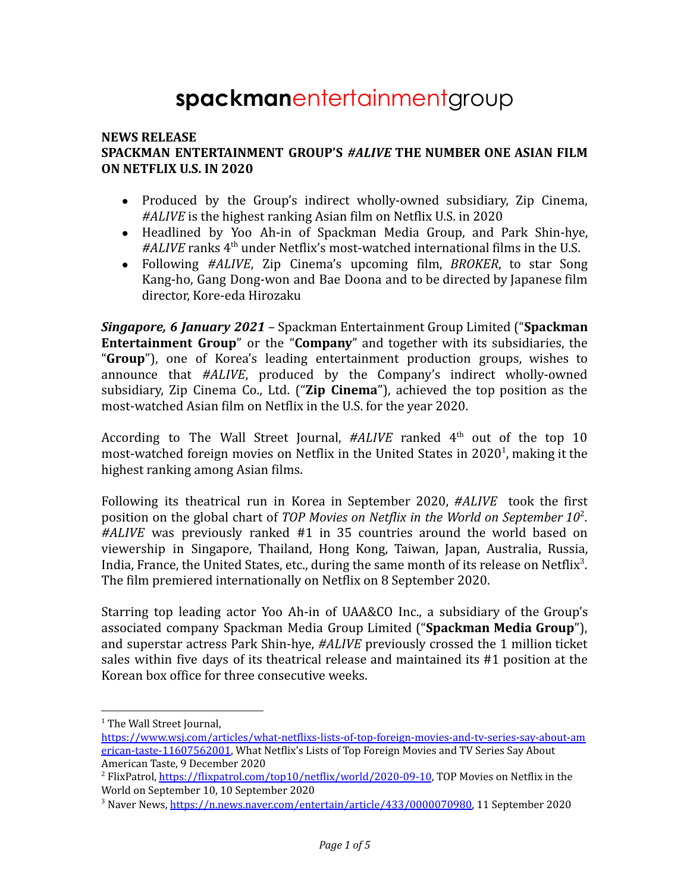# **spackman**entertainmentgroup

#### **NEWS RELEASE SPACKMAN ENTERTAINMENT GROUP'S** *#ALIVE* **THE NUMBER ONE ASIAN FILM ON NETFLIX U.S. IN 2020**

- Produced by the Group's indirect wholly-owned subsidiary, Zip Cinema, *#ALIVE* is the highest ranking Asian film on Netflix U.S. in 2020
- Headlined by Yoo Ah-in of Spackman Media Group, and Park Shin-hye, #ALIVE ranks 4<sup>th</sup> under Netflix's most-watched international films in the U.S.
- Following *#ALIVE*, Zip Cinema's upcoming film, *BROKER*, to star Song Kang-ho, Gang Dong-won and Bae Doona and to be directed by Japanese film director, Kore-eda Hirozaku

*Singapore, 6 January 2021* – Spackman Entertainment Group Limited ("**Spackman Entertainment Group**" or the "**Company**" and together with its subsidiaries, the "**Group**"), one of Korea's leading entertainment production groups, wishes to announce that *#ALIVE*, produced by the Company's indirect wholly-owned subsidiary, Zip Cinema Co., Ltd. ("**Zip Cinema**"), achieved the top position as the most-watched Asian film on Netflix in the U.S. for the year 2020.

According to The Wall Street Journal, #ALIVE ranked 4<sup>th</sup> out of the top 10 most-watched foreign movies on Netflix in the United States in 2020<sup>1</sup>, making it the highest ranking among Asian films.

Following its theatrical run in Korea in September 2020, *#ALIVE* took the first position on the global chart of *TOP Movies on Netflix in the World on September 10*<sup>2</sup> . *#ALIVE* was previously ranked #1 in 35 countries around the world based on viewership in Singapore, Thailand, Hong Kong, Taiwan, Japan, Australia, Russia, India, France, the United States, etc., during the same month of its release on Netflix<sup>3</sup>. The film premiered internationally on Netflix on 8 September 2020.

Starring top leading actor Yoo Ah-in of UAA&CO Inc., a subsidiary of the Group's associated company Spackman Media Group Limited ("**Spackman Media Group**"), and superstar actress Park Shin-hye, *#ALIVE* previously crossed the 1 million ticket sales within five days of its theatrical release and maintained its #1 position at the Korean box office for three consecutive weeks.

<sup>&</sup>lt;sup>1</sup> The Wall Street Journal,

[https://www.wsj.com/articles/what-netflixs-lists-of-top-foreign-movies-and-tv-series-say-about-am](https://www.wsj.com/articles/what-netflixs-lists-of-top-foreign-movies-and-tv-series-say-about-american-taste-11607562001) [erican-taste-11607562001,](https://www.wsj.com/articles/what-netflixs-lists-of-top-foreign-movies-and-tv-series-say-about-american-taste-11607562001) What Netflix's Lists of Top Foreign Movies and TV Series Say About American Taste, 9 December 2020

<sup>&</sup>lt;sup>2</sup> FlixPatrol, <https://flixpatrol.com/top10/netflix/world/2020-09-10>, TOP Movies on Netflix in the World on September 10, 10 September 2020

<sup>&</sup>lt;sup>3</sup> Naver News, [https://n.news.naver.com/entertain/article/433/0000070980,](https://n.news.naver.com/entertain/article/433/0000070980) 11 September 2020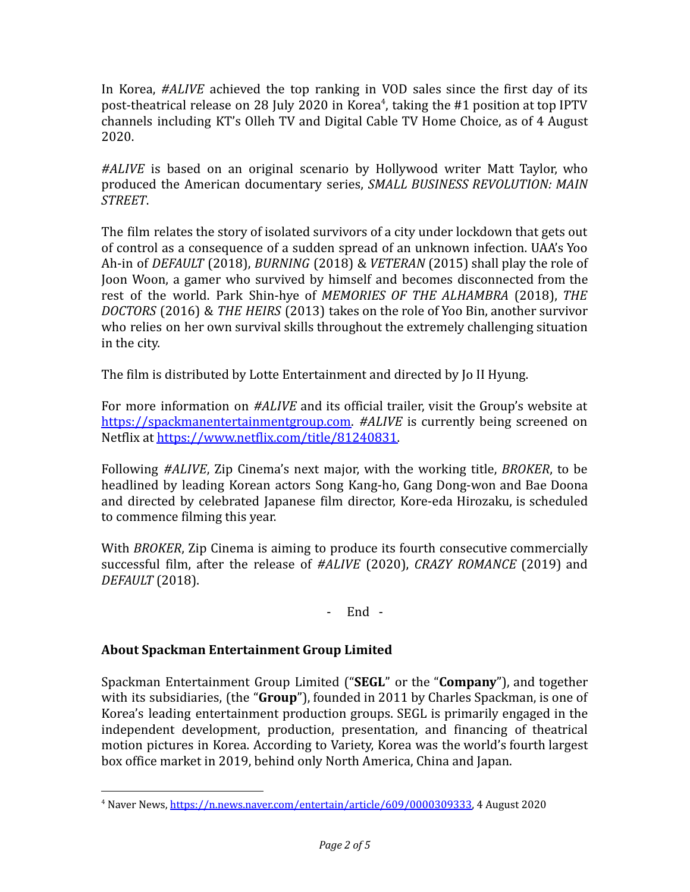In Korea, *#ALIVE* achieved the top ranking in VOD sales since the first day of its post-theatrical release on 28 July 2020 in Korea<sup>4</sup>, taking the #1 position at top IPTV channels including KT's Olleh TV and Digital Cable TV Home Choice, as of 4 August 2020.

*#ALIVE* is based on an original scenario by Hollywood writer Matt Taylor, who produced the American documentary series, *SMALL BUSINESS REVOLUTION: MAIN STREET*.

The film relates the story of isolated survivors of a city under lockdown that gets out of control as a consequence of a sudden spread of an unknown infection. UAA's Yoo Ah-in of *DEFAULT* (2018), *BURNING* (2018) & *VETERAN* (2015) shall play the role of Joon Woon, a gamer who survived by himself and becomes disconnected from the rest of the world. Park Shin-hye of *MEMORIES OF THE ALHAMBRA* (2018), *THE DOCTORS* (2016) & *THE HEIRS* (2013) takes on the role of Yoo Bin, another survivor who relies on her own survival skills throughout the extremely challenging situation in the city.

The film is distributed by Lotte Entertainment and directed by Jo II Hyung.

For more information on *#ALIVE* and its official trailer, visit the Group's website at [https://spackmanentertainmentgroup.com.](https://spackmanentertainmentgroup.com) *#ALIVE* is currently being screened on Netflix at [https://www.netflix.com/title/81240831.](https://www.netflix.com/title/81240831)

Following *#ALIVE*, Zip Cinema's next major, with the working title, *BROKER*, to be headlined by leading Korean actors Song Kang-ho, Gang Dong-won and Bae Doona and directed by celebrated Japanese film director, Kore-eda Hirozaku, is scheduled to commence filming this year.

With *BROKER*, Zip Cinema is aiming to produce its fourth consecutive commercially successful film, after the release of *#ALIVE* (2020), *CRAZY ROMANCE* (2019) and *DEFAULT* (2018).

#### - End -

## **About Spackman Entertainment Group Limited**

Spackman Entertainment Group Limited ("**SEGL**" or the "**Company**"), and together with its subsidiaries, (the "**Group**"), founded in 2011 by Charles Spackman, is one of Korea's leading entertainment production groups. SEGL is primarily engaged in the independent development, production, presentation, and financing of theatrical motion pictures in Korea. According to Variety, Korea was the world's fourth largest box office market in 2019, behind only North America, China and Japan.

<sup>&</sup>lt;sup>4</sup> Naver News, [https://n.news.naver.com/entertain/article/609/0000309333,](https://n.news.naver.com/entertain/article/609/0000309333) 4 August 2020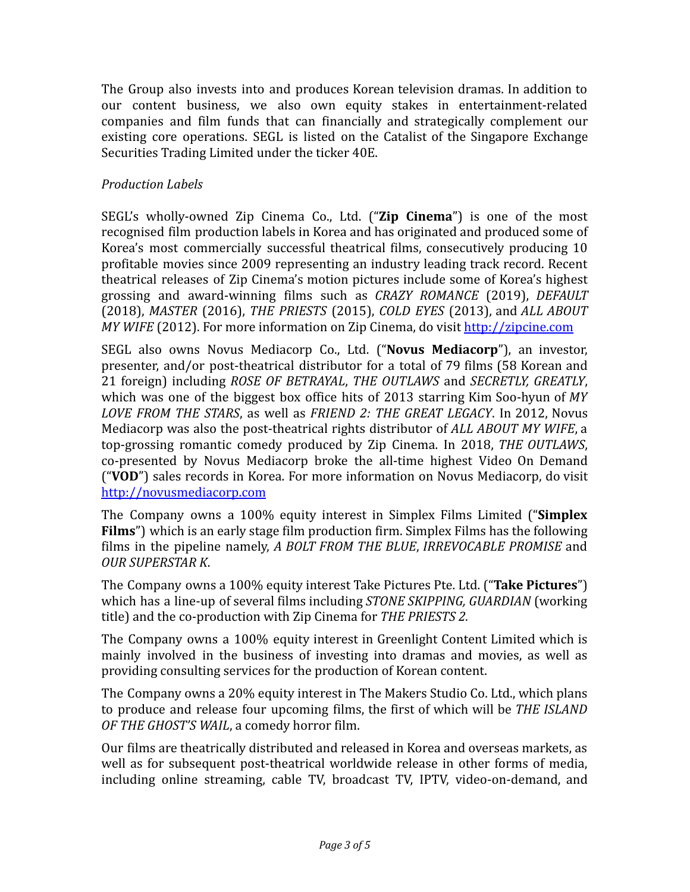The Group also invests into and produces Korean television dramas. In addition to our content business, we also own equity stakes in entertainment-related companies and film funds that can financially and strategically complement our existing core operations. SEGL is listed on the Catalist of the Singapore Exchange Securities Trading Limited under the ticker 40E.

### *Production Labels*

SEGL's wholly-owned Zip Cinema Co., Ltd. ("**Zip Cinema**") is one of the most recognised film production labels in Korea and has originated and produced some of Korea's most commercially successful theatrical films, consecutively producing 10 profitable movies since 2009 representing an industry leading track record. Recent theatrical releases of Zip Cinema's motion pictures include some of Korea's highest grossing and award-winning films such as *CRAZY ROMANCE* (2019), *DEFAULT* (2018), *MASTER* (2016), *THE PRIESTS* (2015), *COLD EYES* (2013), and *ALL ABOUT MY WIFE* (2012). For more information on Zip Cinema, do visit <http://zipcine.com>

SEGL also owns Novus Mediacorp Co., Ltd. ("**Novus Mediacorp**"), an investor, presenter, and/or post-theatrical distributor for a total of 79 films (58 Korean and 21 foreign) including *ROSE OF BETRAYAL*, *THE OUTLAWS* and *SECRETLY, GREATLY*, which was one of the biggest box office hits of 2013 starring Kim Soo-hyun of *MY LOVE FROM THE STARS*, as well as *FRIEND 2: THE GREAT LEGACY*. In 2012, Novus Mediacorp was also the post-theatrical rights distributor of *ALL ABOUT MY WIFE*, a top-grossing romantic comedy produced by Zip Cinema. In 2018, *THE OUTLAWS*, co-presented by Novus Mediacorp broke the all-time highest Video On Demand ("**VOD**") sales records in Korea. For more information on Novus Mediacorp, do visit <http://novusmediacorp.com>

The Company owns a 100% equity interest in Simplex Films Limited ("**Simplex Films**") which is an early stage film production firm. Simplex Films has the following films in the pipeline namely, *A BOLT FROM THE BLUE*, *IRREVOCABLE PROMISE* and *OUR SUPERSTAR K*.

The Company owns a 100% equity interest Take Pictures Pte. Ltd. ("**Take Pictures**") which has a line-up of several films including *STONE SKIPPING, GUARDIAN* (working title) and the co-production with Zip Cinema for *THE PRIESTS 2.*

The Company owns a 100% equity interest in Greenlight Content Limited which is mainly involved in the business of investing into dramas and movies, as well as providing consulting services for the production of Korean content.

The Company owns a 20% equity interest in The Makers Studio Co. Ltd., which plans to produce and release four upcoming films, the first of which will be *THE ISLAND OF THE GHOST'S WAIL*, a comedy horror film.

Our films are theatrically distributed and released in Korea and overseas markets, as well as for subsequent post-theatrical worldwide release in other forms of media, including online streaming, cable TV, broadcast TV, IPTV, video-on-demand, and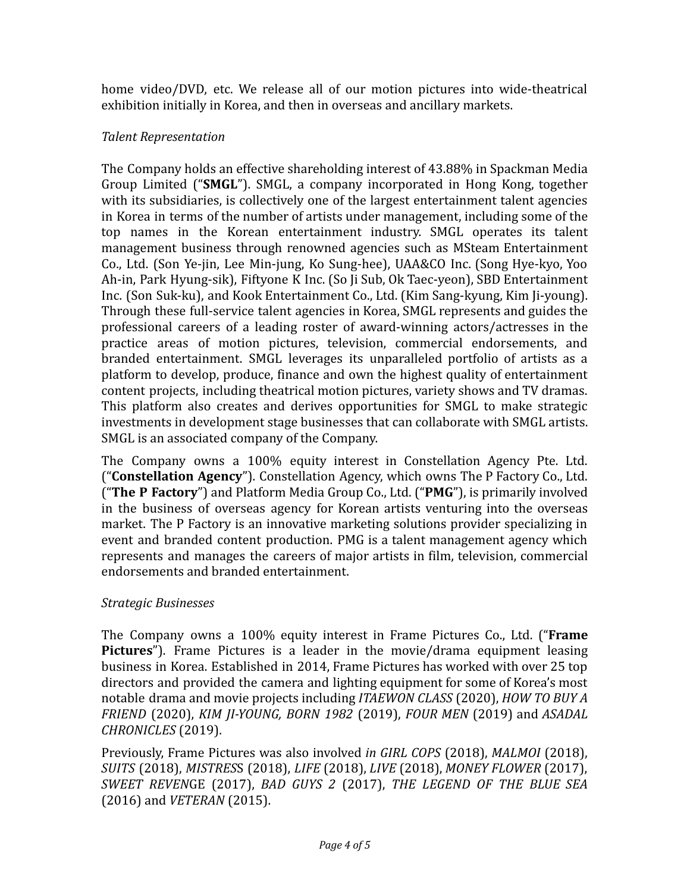home video/DVD, etc. We release all of our motion pictures into wide-theatrical exhibition initially in Korea, and then in overseas and ancillary markets.

### *Talent Representation*

The Company holds an effective shareholding interest of 43.88% in Spackman Media Group Limited ("**SMGL**"). SMGL, a company incorporated in Hong Kong, together with its subsidiaries, is collectively one of the largest entertainment talent agencies in Korea in terms of the number of artists under management, including some of the top names in the Korean entertainment industry. SMGL operates its talent management business through renowned agencies such as MSteam Entertainment Co., Ltd. (Son Ye-jin, Lee Min-jung, Ko Sung-hee), UAA&CO Inc. (Song Hye-kyo, Yoo Ah-in, Park Hyung-sik), Fiftyone K Inc. (So Ji Sub, Ok Taec-yeon), SBD Entertainment Inc. (Son Suk-ku), and Kook Entertainment Co., Ltd. (Kim Sang-kyung, Kim Ji-young). Through these full-service talent agencies in Korea, SMGL represents and guides the professional careers of a leading roster of award-winning actors/actresses in the practice areas of motion pictures, television, commercial endorsements, and branded entertainment. SMGL leverages its unparalleled portfolio of artists as a platform to develop, produce, finance and own the highest quality of entertainment content projects, including theatrical motion pictures, variety shows and TV dramas. This platform also creates and derives opportunities for SMGL to make strategic investments in development stage businesses that can collaborate with SMGL artists. SMGL is an associated company of the Company.

The Company owns a 100% equity interest in Constellation Agency Pte. Ltd. ("**Constellation Agency**"). Constellation Agency, which owns The P Factory Co., Ltd. ("**The P Factory**") and Platform Media Group Co., Ltd. ("**PMG**"), is primarily involved in the business of overseas agency for Korean artists venturing into the overseas market. The P Factory is an innovative marketing solutions provider specializing in event and branded content production. PMG is a talent management agency which represents and manages the careers of major artists in film, television, commercial endorsements and branded entertainment.

#### *Strategic Businesses*

The Company owns a 100% equity interest in Frame Pictures Co., Ltd. ("**Frame Pictures**"). Frame Pictures is a leader in the movie/drama equipment leasing business in Korea. Established in 2014, Frame Pictures has worked with over 25 top directors and provided the camera and lighting equipment for some of Korea's most notable drama and movie projects including *ITAEWON CLASS* (2020), *HOW TO BUY A FRIEND* (2020), *KIM JI-YOUNG, BORN 1982* (2019), *FOUR MEN* (2019) and *ASADAL CHRONICLES* (2019).

Previously, Frame Pictures was also involved *in GIRL COPS* (2018), *MALMOI* (2018), *SUITS* (2018), *MISTRES*S (2018), *LIFE* (2018), *LIVE* (2018), *MONEY FLOWER* (2017), *SWEET REVEN*GE (2017), *BAD GUYS 2* (2017), *THE LEGEND OF THE BLUE SEA* (2016) and *VETERAN* (2015).